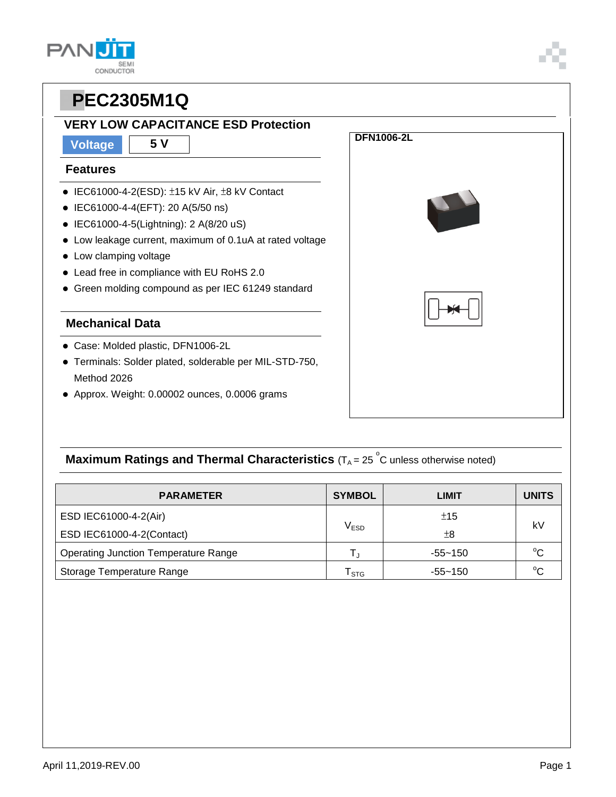**CONDUCTOR** 

#### **VERY LOW CAPACITANCE ESD Protection**

**Voltage 5 V**

#### **Features**

**PAN** 

- $\bullet$  IEC61000-4-2(ESD):  $\pm$ 15 kV Air,  $\pm$ 8 kV Contact
- IEC61000-4-4(EFT): 20 A(5/50 ns)
- IEC61000-4-5(Lightning): 2 A(8/20 uS)
- Low leakage current, maximum of 0.1uA at rated voltage
- Low clamping voltage
- Lead free in compliance with EU RoHS 2.0
- Green molding compound as per IEC 61249 standard

#### **Mechanical Data**

- Case: Molded plastic, DFN1006-2L
- Terminals: Solder plated, solderable per MIL-STD-750, Method 2026
- Approx. Weight: 0.00002 ounces, 0.0006 grams



**DFN1006-2L** 

## **Maximum Ratings and Thermal Characteristics** (T<sub>A</sub> = 25<sup>°</sup>C unless otherwise noted)

| <b>PARAMETER</b>                     | <b>SYMBOL</b>               | LIMIT       | <b>UNITS</b> |  |
|--------------------------------------|-----------------------------|-------------|--------------|--|
| ESD IEC61000-4-2(Air)                | ±15                         |             |              |  |
| ESD IEC61000-4-2(Contact)            | $\mathsf{V}_{\mathsf{ESD}}$ | $\pm 8$     | kV           |  |
| Operating Junction Temperature Range |                             | $-55 - 150$ | $^{\circ}C$  |  |
| Storage Temperature Range            | $\mathsf{T}_{\text{STG}}$   | -55~150     | $^{\circ}C$  |  |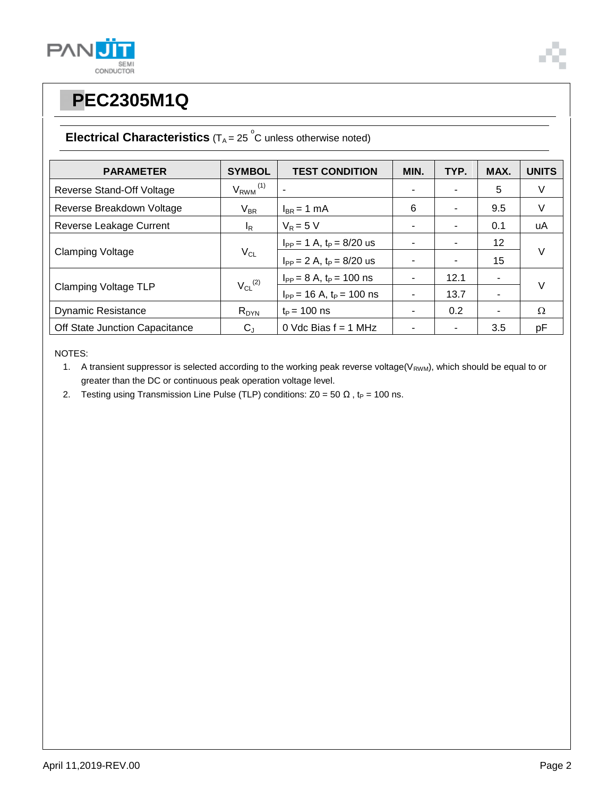



### **Electrical Characteristics**  $(T_A = 25 \degree C$  unless otherwise noted)

| <b>PARAMETER</b>               | <b>SYMBOL</b>            | <b>TEST CONDITION</b>            | MIN. | TYP. | MAX. | <b>UNITS</b> |
|--------------------------------|--------------------------|----------------------------------|------|------|------|--------------|
| Reverse Stand-Off Voltage      | $V_{RWM}$ <sup>(1)</sup> |                                  |      |      | 5    | V            |
| Reverse Breakdown Voltage      | $V_{BR}$                 | $I_{BR}$ = 1 mA                  | 6    | ۰    | 9.5  | V            |
| Reverse Leakage Current        | $I_R$                    | $V_R = 5 V$                      |      |      | 0.1  | uA           |
| <b>Clamping Voltage</b>        | $V_{CL}$                 | $I_{PP} = 1$ A, $t_P = 8/20$ us  |      |      | 12   | $\vee$       |
|                                |                          | $I_{PP} = 2 A$ , $t_P = 8/20$ us |      |      | 15   |              |
| Clamping Voltage TLP           | $V_{CL}$ <sup>(2)</sup>  | $I_{PP} = 8 A$ , $t_P = 100$ ns  |      | 12.1 | ۰    | $\vee$       |
|                                |                          | $I_{PP}$ = 16 A, $t_P$ = 100 ns  |      | 13.7 | ٠    |              |
| <b>Dynamic Resistance</b>      | $R_{DYN}$                | $t_{\rm P}$ = 100 ns             |      | 0.2  | ۰    | Ω            |
| Off State Junction Capacitance | $C_{J}$                  | 0 Vdc Bias $f = 1$ MHz           |      |      | 3.5  | pF           |

NOTES:

1. A transient suppressor is selected according to the working peak reverse voltage( $V_{RWM}$ ), which should be equal to or greater than the DC or continuous peak operation voltage level.

2. Testing using Transmission Line Pulse (TLP) conditions:  $Z0 = 50 \Omega$ , t<sub>P</sub> = 100 ns.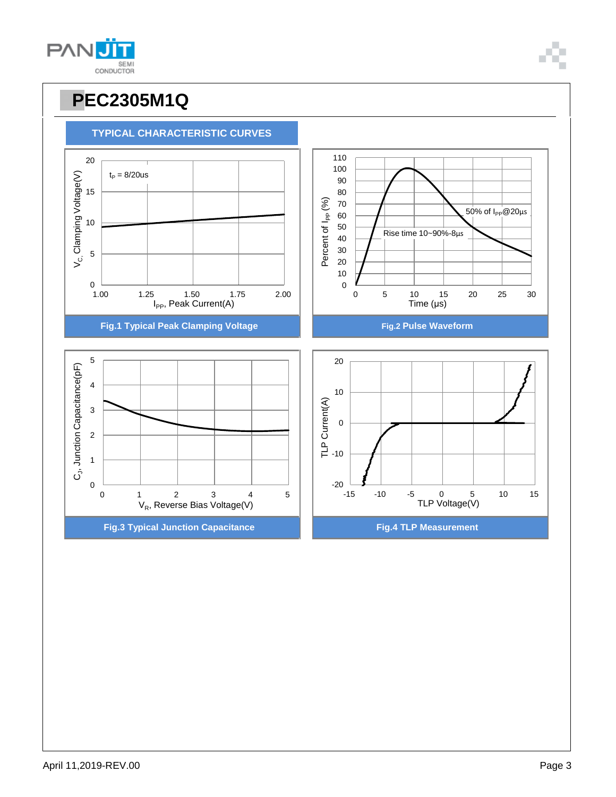

110

**PPEC2305M1Q**

**TYPICAL CHARACTERISTIC CURVES**

## **PANU** SEMI<br>CONDUCTOR

20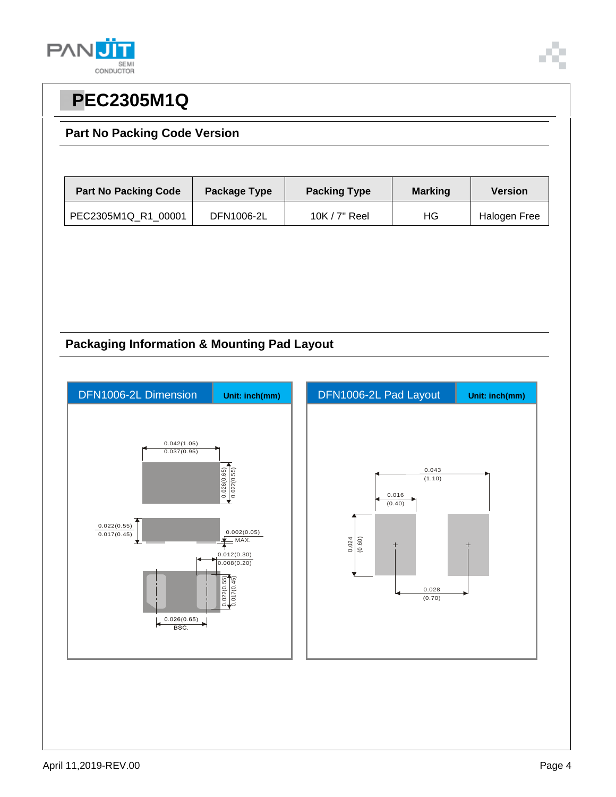



#### **Part No Packing Code Version**

| <b>Part No Packing Code</b> | Package Type | <b>Packing Type</b> | <b>Marking</b> | <b>Version</b> |
|-----------------------------|--------------|---------------------|----------------|----------------|
| PEC2305M1Q R1 00001         | DFN1006-2L   | $10K / 7"$ Reel     | ΗG             | Halogen Free   |

#### **Packaging Information & Mounting Pad Layout**